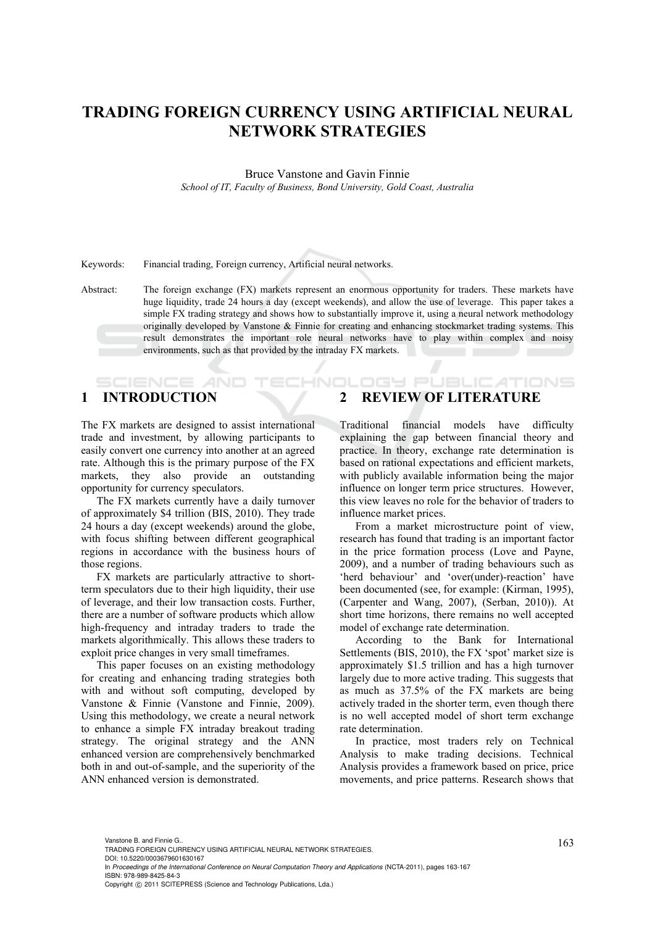# **TRADING FOREIGN CURRENCY USING ARTIFICIAL NEURAL NETWORK STRATEGIES**

Bruce Vanstone and Gavin Finnie *School of IT, Faculty of Business, Bond University, Gold Coast, Australia* 

Keywords: Financial trading, Foreign currency, Artificial neural networks.

Abstract: The foreign exchange (FX) markets represent an enormous opportunity for traders. These markets have huge liquidity, trade 24 hours a day (except weekends), and allow the use of leverage. This paper takes a simple FX trading strategy and shows how to substantially improve it, using a neural network methodology originally developed by Vanstone & Finnie for creating and enhancing stockmarket trading systems. This result demonstrates the important role neural networks have to play within complex and noisy environments, such as that provided by the intraday FX markets.

ECHNOL

# **1 INTRODUCTION**

The FX markets are designed to assist international trade and investment, by allowing participants to easily convert one currency into another at an agreed rate. Although this is the primary purpose of the FX markets, they also provide an outstanding opportunity for currency speculators.

The FX markets currently have a daily turnover of approximately \$4 trillion (BIS, 2010). They trade 24 hours a day (except weekends) around the globe, with focus shifting between different geographical regions in accordance with the business hours of those regions.

FX markets are particularly attractive to shortterm speculators due to their high liquidity, their use of leverage, and their low transaction costs. Further, there are a number of software products which allow high-frequency and intraday traders to trade the markets algorithmically. This allows these traders to exploit price changes in very small timeframes.

This paper focuses on an existing methodology for creating and enhancing trading strategies both with and without soft computing, developed by Vanstone & Finnie (Vanstone and Finnie, 2009). Using this methodology, we create a neural network to enhance a simple FX intraday breakout trading strategy. The original strategy and the ANN enhanced version are comprehensively benchmarked both in and out-of-sample, and the superiority of the ANN enhanced version is demonstrated.

# **2 REVIEW OF LITERATURE**

Traditional financial models have difficulty explaining the gap between financial theory and practice. In theory, exchange rate determination is based on rational expectations and efficient markets, with publicly available information being the major influence on longer term price structures. However, this view leaves no role for the behavior of traders to influence market prices.

DGY PUBLIC ATIONS

From a market microstructure point of view, research has found that trading is an important factor in the price formation process (Love and Payne, 2009), and a number of trading behaviours such as 'herd behaviour' and 'over(under)-reaction' have been documented (see, for example: (Kirman, 1995), (Carpenter and Wang, 2007), (Serban, 2010)). At short time horizons, there remains no well accepted model of exchange rate determination.

According to the Bank for International Settlements (BIS, 2010), the FX 'spot' market size is approximately \$1.5 trillion and has a high turnover largely due to more active trading. This suggests that as much as 37.5% of the FX markets are being actively traded in the shorter term, even though there is no well accepted model of short term exchange rate determination.

In practice, most traders rely on Technical Analysis to make trading decisions. Technical Analysis provides a framework based on price, price movements, and price patterns. Research shows that

Vanstone B. and Finnie G..<br>TRADING FOREIGN CURRENCY USING ARTIFICIAL NEURAL NETWORK STRATEGIES. DOI: 10.5220/0003679601630167 In *Proceedings of the International Conference on Neural Computation Theory and Applications* (NCTA-2011), pages 163-167 ISBN: 978-989-8425-84-3 Copyright © 2011 SCITEPRESS (Science and Technology Publications, Lda.)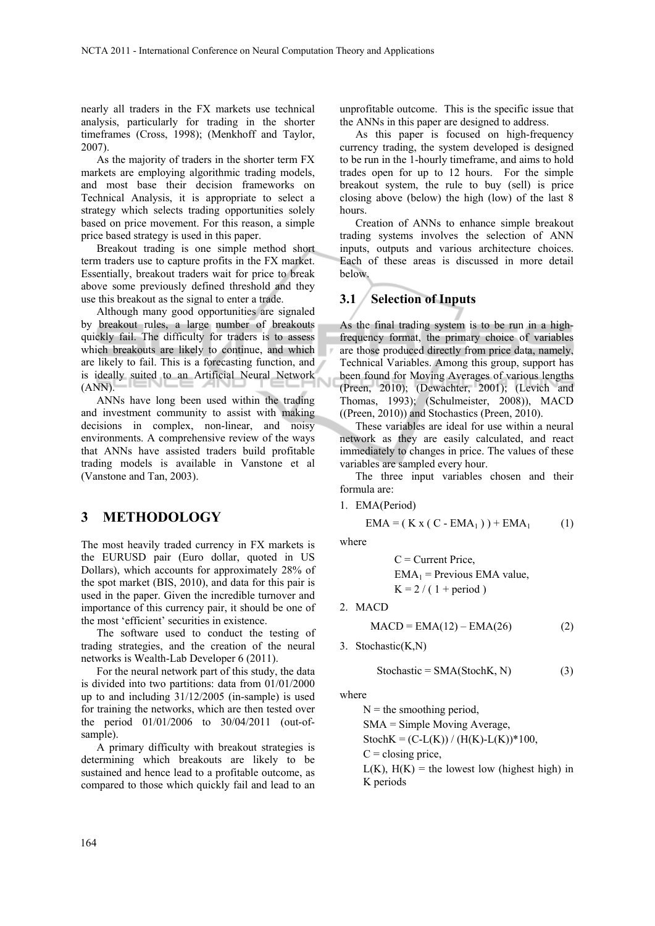nearly all traders in the FX markets use technical analysis, particularly for trading in the shorter timeframes (Cross, 1998); (Menkhoff and Taylor, 2007).

As the majority of traders in the shorter term FX markets are employing algorithmic trading models, and most base their decision frameworks on Technical Analysis, it is appropriate to select a strategy which selects trading opportunities solely based on price movement. For this reason, a simple price based strategy is used in this paper.

Breakout trading is one simple method short term traders use to capture profits in the FX market. Essentially, breakout traders wait for price to break above some previously defined threshold and they use this breakout as the signal to enter a trade.

Although many good opportunities are signaled by breakout rules, a large number of breakouts quickly fail. The difficulty for traders is to assess which breakouts are likely to continue, and which are likely to fail. This is a forecasting function, and is ideally suited to an Artificial Neural Network (ANN).

ANNs have long been used within the trading and investment community to assist with making decisions in complex, non-linear, and noisy environments. A comprehensive review of the ways that ANNs have assisted traders build profitable trading models is available in Vanstone et al (Vanstone and Tan, 2003).

## **3 METHODOLOGY**

The most heavily traded currency in FX markets is the EURUSD pair (Euro dollar, quoted in US Dollars), which accounts for approximately 28% of the spot market (BIS, 2010), and data for this pair is used in the paper. Given the incredible turnover and importance of this currency pair, it should be one of the most 'efficient' securities in existence.

The software used to conduct the testing of trading strategies, and the creation of the neural networks is Wealth-Lab Developer 6 (2011).

For the neural network part of this study, the data is divided into two partitions: data from 01/01/2000 up to and including 31/12/2005 (in-sample) is used for training the networks, which are then tested over the period 01/01/2006 to 30/04/2011 (out-ofsample).

A primary difficulty with breakout strategies is determining which breakouts are likely to be sustained and hence lead to a profitable outcome, as compared to those which quickly fail and lead to an

unprofitable outcome. This is the specific issue that the ANNs in this paper are designed to address.

As this paper is focused on high-frequency currency trading, the system developed is designed to be run in the 1-hourly timeframe, and aims to hold trades open for up to 12 hours. For the simple breakout system, the rule to buy (sell) is price closing above (below) the high (low) of the last 8 hours.

Creation of ANNs to enhance simple breakout trading systems involves the selection of ANN inputs, outputs and various architecture choices. Each of these areas is discussed in more detail below.

### **3.1 Selection of Inputs**

As the final trading system is to be run in a highfrequency format, the primary choice of variables are those produced directly from price data, namely, Technical Variables. Among this group, support has been found for Moving Averages of various lengths (Preen, 2010); (Dewachter, 2001); (Levich and Thomas, 1993); (Schulmeister, 2008)), MACD ((Preen, 2010)) and Stochastics (Preen, 2010).

These variables are ideal for use within a neural network as they are easily calculated, and react immediately to changes in price. The values of these variables are sampled every hour.

The three input variables chosen and their formula are:

1. EMA(Period)

$$
EMA = ( K x ( C - EMA1 ) ) + EMA1 (1)
$$

where

 $C =$  Current Price,  $EMA_1$  = Previous EMA value,  $K = 2 / (1 + period)$ 

2. MACD

$$
MACD = EMA(12) - EMA(26)
$$
 (2)

3. Stochastic(K,N)

$$
Stochastic = SMA(StochK, N)
$$
 (3)

where

 $N =$  the smoothing period,

SMA = Simple Moving Average,

StochK =  $(C-L(K)) / (H(K)-L(K))^*100$ ,

 $C = closing$  price,

 $L(K)$ ,  $H(K)$  = the lowest low (highest high) in K periods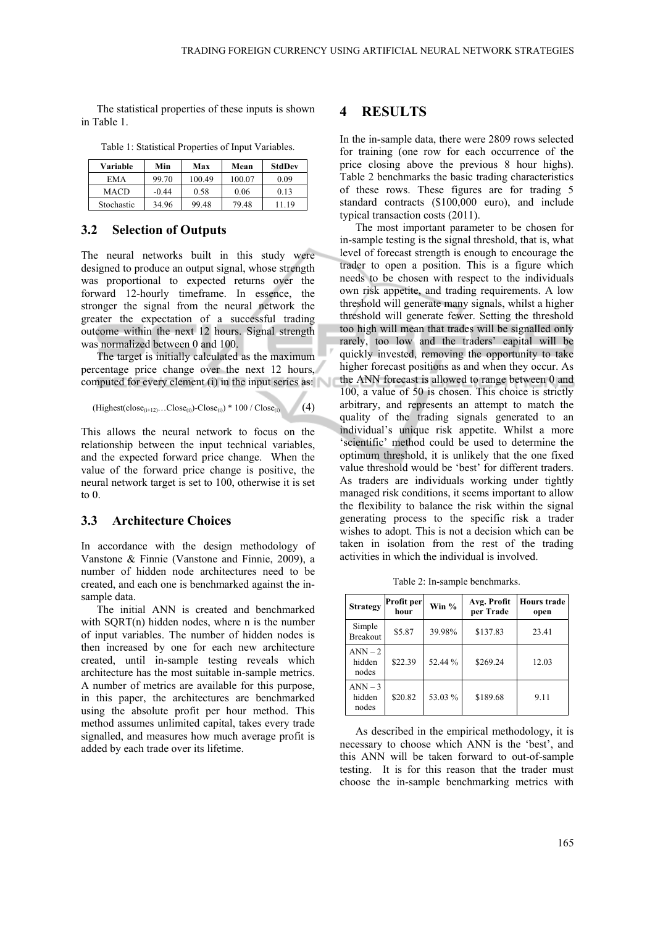The statistical properties of these inputs is shown in Table 1.

| Variable   | Min     | Max    | Mean   | StdDev |
|------------|---------|--------|--------|--------|
| EMA        | 99.70   | 100.49 | 100.07 | 0.09   |
| MACD       | $-0.44$ | 0.58   | 0.06   | 0.13   |
| Stochastic | 34.96   | 99.48  | 79.48  | 11 19  |

Table 1: Statistical Properties of Input Variables.

#### **3.2 Selection of Outputs**

The neural networks built in this study were designed to produce an output signal, whose strength was proportional to expected returns over the forward 12-hourly timeframe. In essence, the stronger the signal from the neural network the greater the expectation of a successful trading outcome within the next 12 hours. Signal strength was normalized between 0 and 100.

The target is initially calculated as the maximum percentage price change over the next 12 hours, computed for every element (i) in the input series as:

 $(Highest (close<sub>(i+12)</sub>...Close<sub>(i)</sub>)$ -Close<sub>(i)</sub>) \* 100 / Close<sub>(i)</sub> (4)

This allows the neural network to focus on the relationship between the input technical variables, and the expected forward price change. When the value of the forward price change is positive, the neural network target is set to 100, otherwise it is set to 0.

#### **3.3 Architecture Choices**

In accordance with the design methodology of Vanstone & Finnie (Vanstone and Finnie, 2009), a number of hidden node architectures need to be created, and each one is benchmarked against the insample data.

The initial ANN is created and benchmarked with SQRT(n) hidden nodes, where n is the number of input variables. The number of hidden nodes is then increased by one for each new architecture created, until in-sample testing reveals which architecture has the most suitable in-sample metrics. A number of metrics are available for this purpose, in this paper, the architectures are benchmarked using the absolute profit per hour method. This method assumes unlimited capital, takes every trade signalled, and measures how much average profit is added by each trade over its lifetime.

#### **4 RESULTS**

In the in-sample data, there were 2809 rows selected for training (one row for each occurrence of the price closing above the previous 8 hour highs). Table 2 benchmarks the basic trading characteristics of these rows. These figures are for trading 5 standard contracts (\$100,000 euro), and include typical transaction costs (2011).

The most important parameter to be chosen for in-sample testing is the signal threshold, that is, what level of forecast strength is enough to encourage the trader to open a position. This is a figure which needs to be chosen with respect to the individuals own risk appetite, and trading requirements. A low threshold will generate many signals, whilst a higher threshold will generate fewer. Setting the threshold too high will mean that trades will be signalled only rarely, too low and the traders' capital will be quickly invested, removing the opportunity to take higher forecast positions as and when they occur. As the ANN forecast is allowed to range between 0 and 100, a value of 50 is chosen. This choice is strictly arbitrary, and represents an attempt to match the quality of the trading signals generated to an individual's unique risk appetite. Whilst a more 'scientific' method could be used to determine the optimum threshold, it is unlikely that the one fixed value threshold would be 'best' for different traders. As traders are individuals working under tightly managed risk conditions, it seems important to allow the flexibility to balance the risk within the signal generating process to the specific risk a trader wishes to adopt. This is not a decision which can be taken in isolation from the rest of the trading activities in which the individual is involved.

Table 2: In-sample benchmarks.

| <b>Strategy</b>              | Profit per<br>hour | Win %   | Avg. Profit<br>per Trade | <b>Hours</b> trade<br>open |
|------------------------------|--------------------|---------|--------------------------|----------------------------|
| Simple<br>Breakout           | \$5.87             | 39.98%  | \$137.83                 | 23.41                      |
| $ANN - 2$<br>hidden<br>nodes | \$22.39            | 52.44 % | \$269.24                 | 12.03                      |
| $ANN - 3$<br>hidden<br>nodes | \$20.82            | 53.03 % | \$189.68                 | 9.11                       |

As described in the empirical methodology, it is necessary to choose which ANN is the 'best', and this ANN will be taken forward to out-of-sample testing. It is for this reason that the trader must choose the in-sample benchmarking metrics with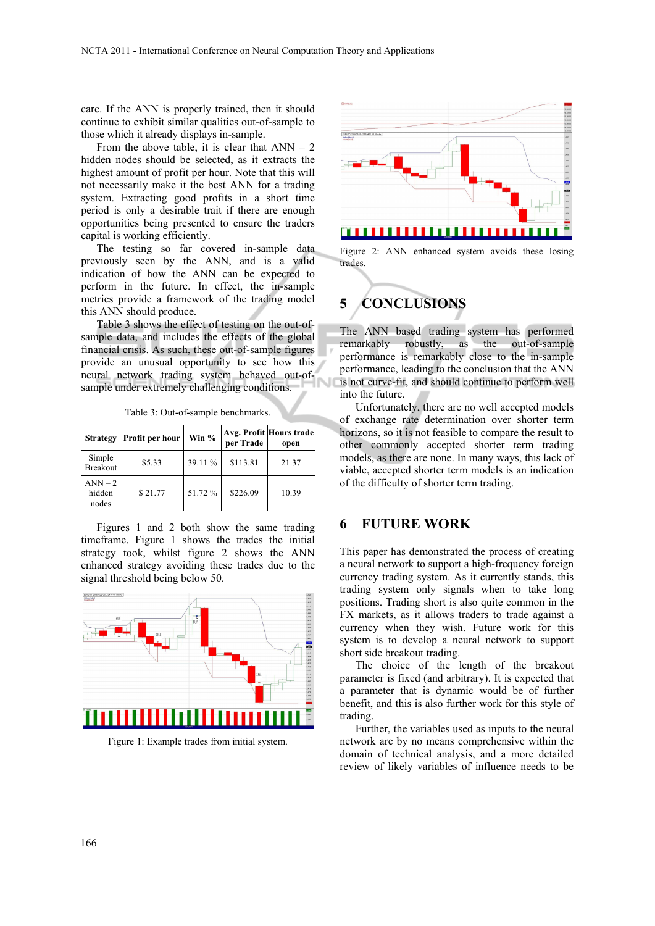care. If the ANN is properly trained, then it should continue to exhibit similar qualities out-of-sample to those which it already displays in-sample.

From the above table, it is clear that  $ANN - 2$ hidden nodes should be selected, as it extracts the highest amount of profit per hour. Note that this will not necessarily make it the best ANN for a trading system. Extracting good profits in a short time period is only a desirable trait if there are enough opportunities being presented to ensure the traders capital is working efficiently.

The testing so far covered in-sample data previously seen by the ANN, and is a valid indication of how the ANN can be expected to perform in the future. In effect, the in-sample metrics provide a framework of the trading model this ANN should produce.

Table 3 shows the effect of testing on the out-ofsample data, and includes the effects of the global financial crisis. As such, these out-of-sample figures provide an unusual opportunity to see how this neural network trading system behaved out-ofsample under extremely challenging conditions.

| <b>Strategy</b>              | Profit per hour | Win $%$ | per Trade | Avg. Profit Hours trade<br>open |
|------------------------------|-----------------|---------|-----------|---------------------------------|
| Simple<br>Breakout           | \$5.33          | 39.11 % | \$113.81  | 21.37                           |
| $ANN - 2$<br>hidden<br>nodes | \$21.77         | 51.72 % | \$226.09  | 10.39                           |

Table 3: Out-of-sample benchmarks.

Figures 1 and 2 both show the same trading timeframe. Figure 1 shows the trades the initial strategy took, whilst figure 2 shows the ANN enhanced strategy avoiding these trades due to the signal threshold being below 50.



Figure 1: Example trades from initial system.



Figure 2: ANN enhanced system avoids these losing trades.

# **5 CONCLUSIONS**

The ANN based trading system has performed remarkably robustly, as the out-of-sample performance is remarkably close to the in-sample performance, leading to the conclusion that the ANN is not curve-fit, and should continue to perform well into the future.

Unfortunately, there are no well accepted models of exchange rate determination over shorter term horizons, so it is not feasible to compare the result to other commonly accepted shorter term trading models, as there are none. In many ways, this lack of viable, accepted shorter term models is an indication of the difficulty of shorter term trading.

## **6 FUTURE WORK**

This paper has demonstrated the process of creating a neural network to support a high-frequency foreign currency trading system. As it currently stands, this trading system only signals when to take long positions. Trading short is also quite common in the FX markets, as it allows traders to trade against a currency when they wish. Future work for this system is to develop a neural network to support short side breakout trading.

The choice of the length of the breakout parameter is fixed (and arbitrary). It is expected that a parameter that is dynamic would be of further benefit, and this is also further work for this style of trading.

Further, the variables used as inputs to the neural network are by no means comprehensive within the domain of technical analysis, and a more detailed review of likely variables of influence needs to be